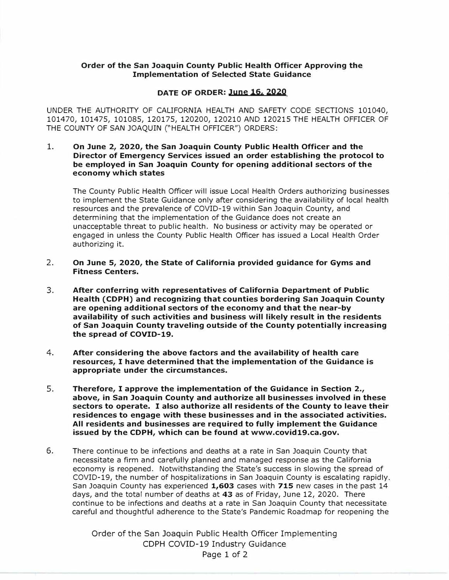## **Order of the San Joaquin County Public Health Officer Approving the Implementation of Selected State Guidance**

## **DATE OF ORDER: June 16, 2020**

UNDER THE AUTHORITY OF CALIFORNIA HEALTH AND SAFETY CODE SECTIONS 101040, 101470, 101475, 101085, 120175, 120200, 120210 AND 120215 THE HEALTH OFFICER OF THE COUNTY OF SAN JOAQUIN ("HEALTH OFFICER") ORDERS:

## **1. On June 2, 2020, the San Joaquin County Public Health Officer and the Director of Emergency Services issued an order establishing the protocol to be employed in San Joaquin County for opening additional sectors of the economy which states**

The County Public Health Officer will issue Local Health Orders authorizing businesses to implement the State Guidance only after considering the availability of local health resources and the prevalence of COVID-19 within San Joaquin County, and determining that the implementation of the Guidance does not create an unacceptable threat to public health. No business or activity may be operated or engaged in unless the County Public Health Officer has issued a Local Health Order authorizing it.

- **2. On June 5, 2020, the State of California provided guidance for Gyms and Fitness Centers.**
- 3. **After conferring with representatives of California Department of Public Health (CDPH) and recognizing that counties bordering San Joaquin County are opening additional sectors of the economy and that the near-by availability of such activities and business will likely result in the residents of San Joaquin County traveling outside of the County potentially increasing the spread of COVID-19.**
- **4. After considering the above factors and the availability of health care resources, I have determined that the implementation of the Guidance is appropriate under the circumstances.**
- 5. **Therefore, I approve the implementation of the Guidance in Section 2., above, in San Joaquin County and authorize all businesses involved in these sectors to operate. I also authorize all residents of the County to leave their residences to engage with these businesses and in the associated activities. All residents and businesses are required to fully implement the Guidance issued by the CDPH, which can be found at www.covid19.ca.gov.**
- 6. There continue to be infections and deaths at a rate in San Joaquin County that necessitate a firm and carefully planned and managed response as the California economy is reopened. Notwithstanding the State's success in slowing the spread of COVID-19, the number of hospitalizations in San Joaquin County is escalating rapidly. San Joaquin County has experienced **1,603** cases with **715** new cases in the past 14 days, and the total number of deaths at 43 as of Friday, June 12, 2020. There continue to be infections and deaths at a rate in San Joaquin County that necessitate careful and thoughtful adherence to the State's Pandemic Roadmap for reopening the

Order of the San Joaquin Public Health Officer Implementing CDPH COVID-19 Industry Guidance Page 1 of 2